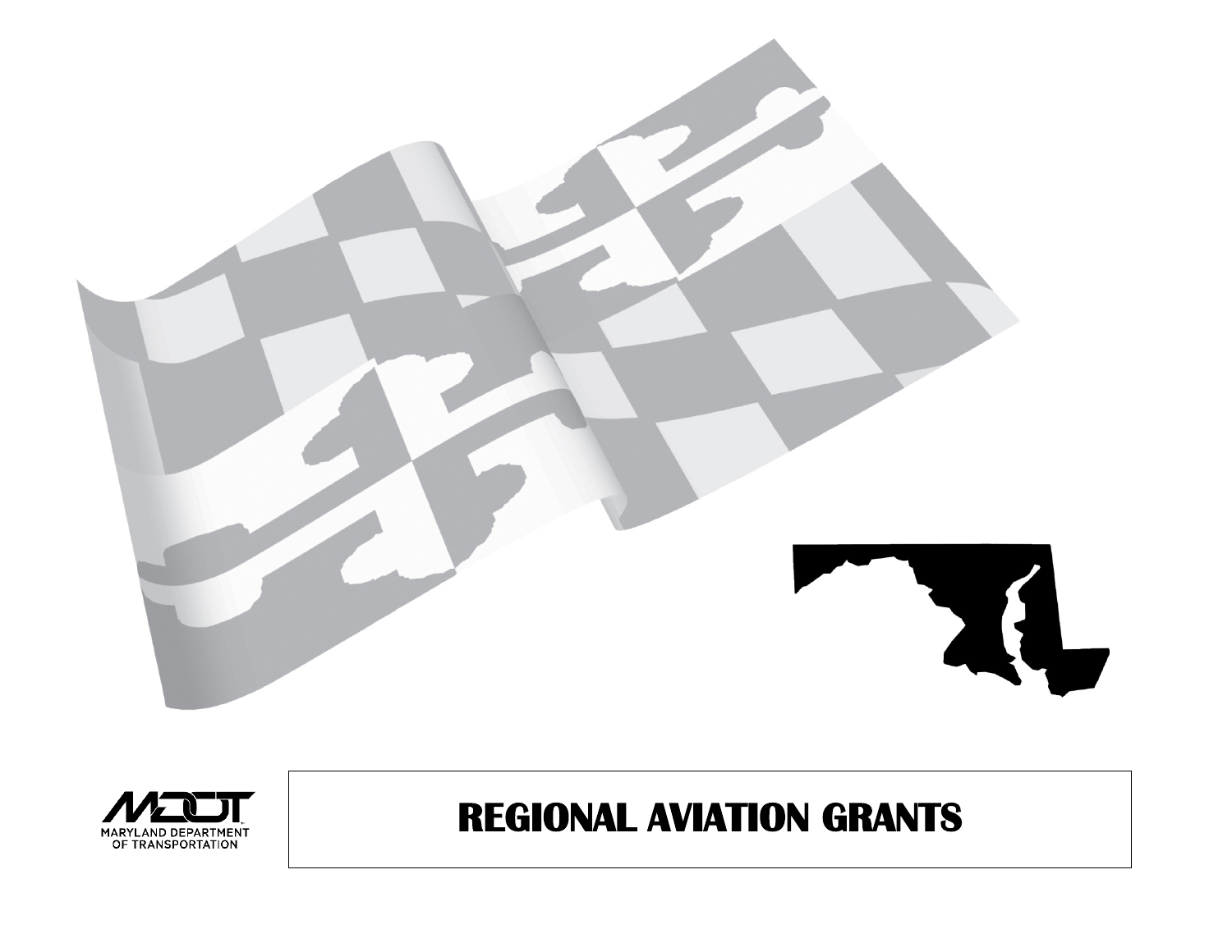



## **REGIONAL AVIATION GRANTS**